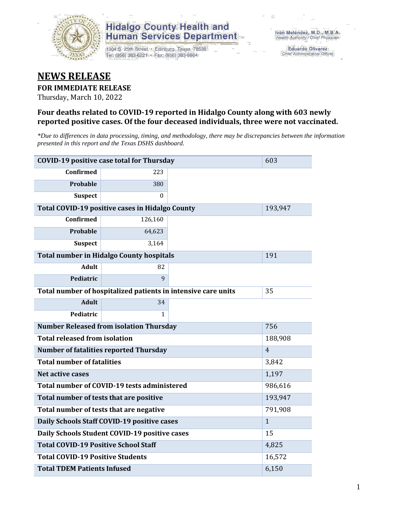

1304 S. 25th Street · Edinburg, Texas 78539 Tel: (956) 383-6221 · Fax: (956) 383-8864

**Eduardo Olivarez** Chief Administrative Officer

#### **NEWS RELEASE**

#### **FOR IMMEDIATE RELEASE**

Thursday, March 10, 2022

#### **Four deaths related to COVID-19 reported in Hidalgo County along with 603 newly reported positive cases. Of the four deceased individuals, three were not vaccinated.**

*\*Due to differences in data processing, timing, and methodology, there may be discrepancies between the information presented in this report and the Texas DSHS dashboard.*

| <b>COVID-19 positive case total for Thursday</b> | 603                                                           |       |                |
|--------------------------------------------------|---------------------------------------------------------------|-------|----------------|
| <b>Confirmed</b>                                 | 223                                                           |       |                |
| Probable                                         | 380                                                           |       |                |
| <b>Suspect</b>                                   | 0                                                             |       |                |
|                                                  | Total COVID-19 positive cases in Hidalgo County               |       | 193,947        |
| Confirmed                                        | 126,160                                                       |       |                |
| Probable                                         | 64,623                                                        |       |                |
| <b>Suspect</b>                                   | 3,164                                                         |       |                |
|                                                  | <b>Total number in Hidalgo County hospitals</b>               |       | 191            |
| <b>Adult</b>                                     | 82                                                            |       |                |
| Pediatric                                        | 9                                                             |       |                |
|                                                  | Total number of hospitalized patients in intensive care units | 35    |                |
| <b>Adult</b>                                     | 34                                                            |       |                |
| Pediatric                                        | 1                                                             |       |                |
|                                                  | <b>Number Released from isolation Thursday</b>                |       | 756            |
| <b>Total released from isolation</b>             |                                                               |       | 188,908        |
|                                                  | <b>Number of fatalities reported Thursday</b>                 |       | $\overline{4}$ |
| <b>Total number of fatalities</b>                |                                                               |       | 3,842          |
| Net active cases                                 |                                                               |       | 1,197          |
|                                                  | Total number of COVID-19 tests administered                   |       | 986,616        |
| Total number of tests that are positive          |                                                               |       | 193,947        |
|                                                  | Total number of tests that are negative                       |       | 791,908        |
|                                                  | Daily Schools Staff COVID-19 positive cases                   |       | $\mathbf{1}$   |
|                                                  | Daily Schools Student COVID-19 positive cases                 |       | 15             |
| <b>Total COVID-19 Positive School Staff</b>      |                                                               | 4,825 |                |
| <b>Total COVID-19 Positive Students</b>          |                                                               |       | 16,572         |
| <b>Total TDEM Patients Infused</b>               | 6,150                                                         |       |                |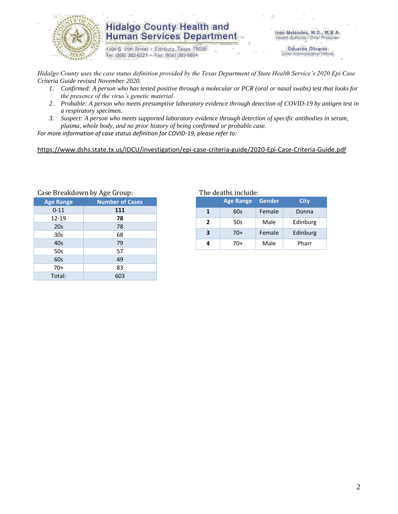

1304 S. 25th Street · Edinburg, Texas 78539 Tel: (956) 383-6221 · Fax: (956) 383-8864

Iván Meléndez, M.D., M.B.A. Health Authority / Chief Physician

> **Eduardo Olivarez** Chief Administrative Officer

*Hidalgo County uses the case status definition provided by the Texas Department of State Health Service's 2020 Epi Case Criteria Guide revised November 2020.*

- *1. Confirmed: A person who has tested positive through a molecular or PCR (oral or nasal swabs) test that looks for the presence of the virus's genetic material.*
- *2. Probable: A person who meets presumptive laboratory evidence through detection of COVID-19 by antigen test in a respiratory specimen.*
- *3. Suspect: A person who meets supported laboratory evidence through detection of specific antibodies in serum, plasma, whole body, and no prior history of being confirmed or probable case.*

*For more information of case status definition for COVID-19, please refer to:*

<https://www.dshs.state.tx.us/IDCU/investigation/epi-case-criteria-guide/2020-Epi-Case-Criteria-Guide.pdf>

| Case Dieakdowii by Age Group: |                        |  |  |  |  |  |  |
|-------------------------------|------------------------|--|--|--|--|--|--|
| <b>Age Range</b>              | <b>Number of Cases</b> |  |  |  |  |  |  |
| $0 - 11$                      | 111                    |  |  |  |  |  |  |
| 12-19                         | 78                     |  |  |  |  |  |  |
| 20s                           | 78                     |  |  |  |  |  |  |
| 30 <sub>s</sub>               | 68                     |  |  |  |  |  |  |
| 40s                           | 79                     |  |  |  |  |  |  |
| 50s                           | 57                     |  |  |  |  |  |  |
| 60s                           | 49                     |  |  |  |  |  |  |
| $70+$                         | 83                     |  |  |  |  |  |  |
| Total:                        | 603                    |  |  |  |  |  |  |
|                               |                        |  |  |  |  |  |  |

Case Breakdown by Age Group: The deaths include:

|                | <b>Age Range</b> | <b>Gender</b> | City     |
|----------------|------------------|---------------|----------|
| 1              | 60s              | Female        | Donna    |
| $\overline{ }$ | 50s              | Male          | Edinburg |
| 3              | $70+$            | Female        | Edinburg |
|                | 70+              | Male          | Pharr    |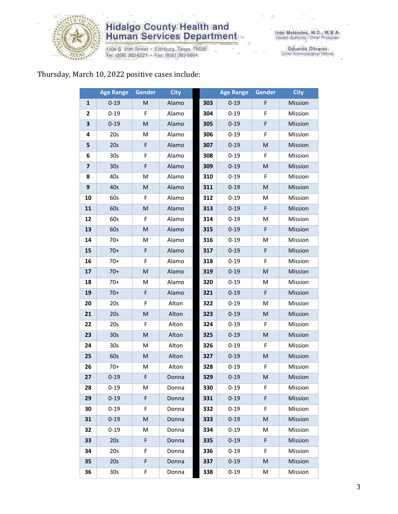

1304 S. 25th Street • Edinburg, Texas 78539<br>Tel: (956) 383-6221 • Fax: (956) 383-8864

Eduardo Olivarez<br>Chief Administrative Officer

#### Thursday, March 10, 2022 positive cases include:

|                         | <b>Age Range</b> | Gender      | <b>City</b> |     | <b>Age Range</b> | <b>Gender</b> | <b>City</b> |
|-------------------------|------------------|-------------|-------------|-----|------------------|---------------|-------------|
| $\mathbf{1}$            | $0 - 19$         | M           | Alamo       | 303 | $0 - 19$         | F             | Mission     |
| $\mathbf{2}$            | $0 - 19$         | F           | Alamo       | 304 | $0 - 19$         | F             | Mission     |
| 3                       | $0 - 19$         | M           | Alamo       | 305 | $0 - 19$         | F             | Mission     |
| 4                       | 20s              | M           | Alamo       | 306 | $0 - 19$         | F             | Mission     |
| 5                       | 20s              | F           | Alamo       | 307 | $0 - 19$         | ${\sf M}$     | Mission     |
| 6                       | 30 <sub>s</sub>  | F           | Alamo       | 308 | $0 - 19$         | F             | Mission     |
| $\overline{\mathbf{z}}$ | 30 <sub>s</sub>  | $\mathsf F$ | Alamo       | 309 | $0 - 19$         | M             | Mission     |
| 8                       | 40s              | M           | Alamo       | 310 | $0 - 19$         | F             | Mission     |
| $\boldsymbol{9}$        | 40s              | M           | Alamo       | 311 | $0 - 19$         | M             | Mission     |
| 10                      | 60s              | F           | Alamo       | 312 | $0 - 19$         | M             | Mission     |
| 11                      | 60s              | M           | Alamo       | 313 | $0 - 19$         | F             | Mission     |
| 12                      | 60s              | F           | Alamo       | 314 | $0 - 19$         | M             | Mission     |
| 13                      | 60s              | M           | Alamo       | 315 | $0 - 19$         | F             | Mission     |
| 14                      | 70+              | M           | Alamo       | 316 | $0 - 19$         | M             | Mission     |
| 15                      | $70+$            | F           | Alamo       | 317 | $0 - 19$         | F             | Mission     |
| 16                      | $70+$            | F           | Alamo       | 318 | $0 - 19$         | F             | Mission     |
| 17                      | $70+$            | M           | Alamo       | 319 | $0 - 19$         | ${\sf M}$     | Mission     |
| 18                      | $70+$            | M           | Alamo       | 320 | $0 - 19$         | M             | Mission     |
| 19                      | $70+$            | F           | Alamo       | 321 | $0 - 19$         | F             | Mission     |
| 20                      | 20s              | F           | Alton       | 322 | $0 - 19$         | M             | Mission     |
| 21                      | 20s              | ${\sf M}$   | Alton       | 323 | $0 - 19$         | ${\sf M}$     | Mission     |
| 22                      | 20s              | F           | Alton       | 324 | $0 - 19$         | F             | Mission     |
| 23                      | 30 <sub>s</sub>  | M           | Alton       | 325 | $0 - 19$         | $\mathsf{M}$  | Mission     |
| 24                      | 30 <sub>s</sub>  | M           | Alton       | 326 | $0 - 19$         | F             | Mission     |
| 25                      | 60s              | M           | Alton       | 327 | $0 - 19$         | ${\sf M}$     | Mission     |
| 26                      | $70+$            | M           | Alton       | 328 | $0 - 19$         | F             | Mission     |
| 27                      | $0 - 19$         | F           | Donna       | 329 | $0 - 19$         | M             | Mission     |
| 28                      | $0 - 19$         | M           | Donna       | 330 | $0 - 19$         | F.            | Mission     |
| 29                      | $0 - 19$         | F           | Donna       | 331 | $0 - 19$         | F             | Mission     |
| 30                      | $0 - 19$         | F.          | Donna       | 332 | $0 - 19$         | F             | Mission     |
| 31                      | $0 - 19$         | M           | Donna       | 333 | $0 - 19$         | M             | Mission     |
| 32                      | $0 - 19$         | М           | Donna       | 334 | $0 - 19$         | M             | Mission     |
| 33                      | 20s              | F           | Donna       | 335 | $0 - 19$         | F             | Mission     |
| 34                      | 20s              | F.          | Donna       | 336 | $0 - 19$         | F             | Mission     |
| 35                      | 20s              | F           | Donna       | 337 | $0 - 19$         | M             | Mission     |
| 36                      | 30 <sub>s</sub>  | F           | Donna       | 338 | $0 - 19$         | M             | Mission     |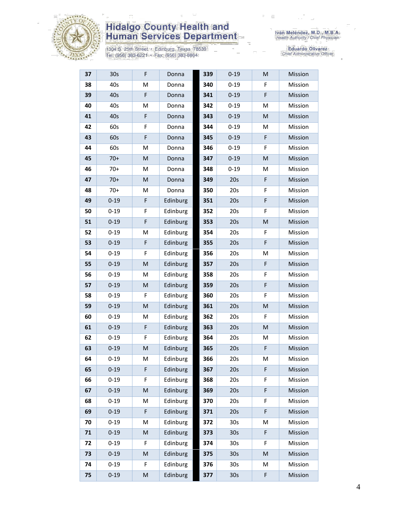

1304 S. 25th Street • Edinburg, Texas 78539<br>Tel: (956) 383-6221 • Fax: (956) 383-8864

| 37 | 30 <sub>s</sub> | F         | Donna    | 339 | $0 - 19$        | M | Mission |
|----|-----------------|-----------|----------|-----|-----------------|---|---------|
| 38 | 40s             | M         | Donna    | 340 | $0 - 19$        | F | Mission |
| 39 | 40s             | F         | Donna    | 341 | $0 - 19$        | F | Mission |
| 40 | 40s             | M         | Donna    | 342 | $0 - 19$        | M | Mission |
| 41 | 40s             | F         | Donna    | 343 | $0 - 19$        | M | Mission |
| 42 | 60s             | F         | Donna    | 344 | $0 - 19$        | M | Mission |
| 43 | 60s             | F         | Donna    | 345 | $0 - 19$        | F | Mission |
| 44 | 60s             | M         | Donna    | 346 | $0 - 19$        | F | Mission |
| 45 | $70+$           | M         | Donna    | 347 | $0 - 19$        | M | Mission |
| 46 | $70+$           | M         | Donna    | 348 | $0 - 19$        | M | Mission |
| 47 | $70+$           | M         | Donna    | 349 | 20s             | F | Mission |
| 48 | $70+$           | M         | Donna    | 350 | 20s             | F | Mission |
| 49 | $0 - 19$        | F         | Edinburg | 351 | 20s             | F | Mission |
| 50 | $0 - 19$        | F         | Edinburg | 352 | 20s             | F | Mission |
| 51 | $0 - 19$        | F         | Edinburg | 353 | 20s             | M | Mission |
| 52 | $0 - 19$        | M         | Edinburg | 354 | 20s             | F | Mission |
| 53 | $0 - 19$        | F         | Edinburg | 355 | 20s             | F | Mission |
| 54 | $0 - 19$        | F         | Edinburg | 356 | 20s             | M | Mission |
| 55 | $0 - 19$        | M         | Edinburg | 357 | 20s             | F | Mission |
| 56 | $0 - 19$        | M         | Edinburg | 358 | 20s             | F | Mission |
| 57 | $0 - 19$        | M         | Edinburg | 359 | 20s             | F | Mission |
| 58 | $0 - 19$        | F         | Edinburg | 360 | 20s             | F | Mission |
| 59 | $0 - 19$        | M         | Edinburg | 361 | 20s             | M | Mission |
| 60 | $0 - 19$        | M         | Edinburg | 362 | 20s             | F | Mission |
| 61 | $0 - 19$        | F         | Edinburg | 363 | 20s             | M | Mission |
| 62 | $0 - 19$        | F         | Edinburg | 364 | 20s             | M | Mission |
| 63 | $0 - 19$        | M         | Edinburg | 365 | 20s             | F | Mission |
| 64 | $0 - 19$        | M         | Edinburg | 366 | 20s             | M | Mission |
| 65 | $0 - 19$        | F         | Edinburg | 367 | 20s             | F | Mission |
| 66 | $0 - 19$        | F         | Edinburg | 368 | 20s             | F | Mission |
| 67 | $0 - 19$        | ${\sf M}$ | Edinburg | 369 | 20s             | F | Mission |
| 68 | $0 - 19$        | M         | Edinburg | 370 | 20s             | F | Mission |
| 69 | $0 - 19$        | F         | Edinburg | 371 | 20s             | F | Mission |
| 70 | $0 - 19$        | M         | Edinburg | 372 | 30 <sub>s</sub> | M | Mission |
| 71 | $0 - 19$        | M         | Edinburg | 373 | 30 <sub>s</sub> | F | Mission |
| 72 | $0 - 19$        | F         | Edinburg | 374 | 30 <sub>s</sub> | F | Mission |
| 73 | $0 - 19$        | M         | Edinburg | 375 | 30 <sub>s</sub> | M | Mission |
| 74 | $0 - 19$        | F         | Edinburg | 376 | 30 <sub>s</sub> | M | Mission |
| 75 | $0 - 19$        | M         | Edinburg | 377 | 30 <sub>s</sub> | F | Mission |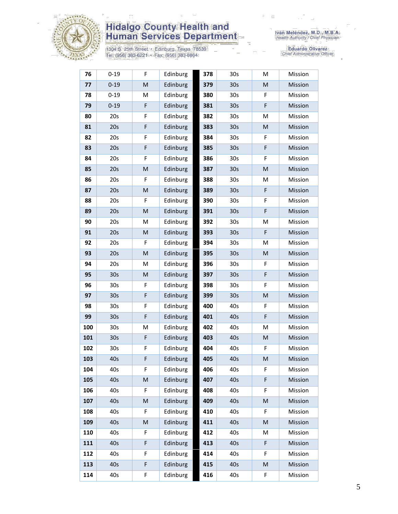

1304 S. 25th Street • Edinburg, Texas 78539<br>Tel: (956) 383-6221 • Fax: (956) 383-8864

| 76  | $0 - 19$        | F | Edinburg | 378 | 30 <sub>s</sub> | M | Mission |
|-----|-----------------|---|----------|-----|-----------------|---|---------|
| 77  | $0 - 19$        | M | Edinburg | 379 | 30s             | M | Mission |
| 78  | $0 - 19$        | M | Edinburg | 380 | 30 <sub>s</sub> | F | Mission |
| 79  | $0 - 19$        | F | Edinburg | 381 | 30 <sub>s</sub> | F | Mission |
| 80  | 20s             | F | Edinburg | 382 | 30 <sub>s</sub> | M | Mission |
| 81  | 20s             | F | Edinburg | 383 | 30 <sub>s</sub> | M | Mission |
| 82  | 20s             | F | Edinburg | 384 | 30 <sub>s</sub> | F | Mission |
| 83  | 20s             | F | Edinburg | 385 | 30 <sub>s</sub> | F | Mission |
| 84  | 20s             | F | Edinburg | 386 | 30 <sub>s</sub> | F | Mission |
| 85  | 20s             | M | Edinburg | 387 | 30 <sub>s</sub> | M | Mission |
| 86  | 20s             | F | Edinburg | 388 | 30 <sub>s</sub> | M | Mission |
| 87  | 20s             | M | Edinburg | 389 | 30 <sub>s</sub> | F | Mission |
| 88  | 20s             | F | Edinburg | 390 | 30 <sub>s</sub> | F | Mission |
| 89  | 20s             | M | Edinburg | 391 | 30 <sub>s</sub> | F | Mission |
| 90  | 20s             | M | Edinburg | 392 | 30 <sub>s</sub> | M | Mission |
| 91  | 20s             | M | Edinburg | 393 | 30 <sub>s</sub> | F | Mission |
| 92  | 20s             | F | Edinburg | 394 | 30 <sub>s</sub> | M | Mission |
| 93  | 20s             | M | Edinburg | 395 | 30 <sub>s</sub> | M | Mission |
| 94  | 20s             | M | Edinburg | 396 | 30 <sub>s</sub> | F | Mission |
| 95  | 30 <sub>s</sub> | M | Edinburg | 397 | 30 <sub>s</sub> | F | Mission |
| 96  | 30 <sub>s</sub> | F | Edinburg | 398 | 30 <sub>s</sub> | F | Mission |
| 97  | 30 <sub>s</sub> | F | Edinburg | 399 | 30 <sub>s</sub> | M | Mission |
| 98  | 30 <sub>s</sub> | F | Edinburg | 400 | 40s             | F | Mission |
| 99  | 30 <sub>s</sub> | F | Edinburg | 401 | 40s             | F | Mission |
| 100 | 30 <sub>s</sub> | M | Edinburg | 402 | 40s             | M | Mission |
| 101 | 30 <sub>s</sub> | F | Edinburg | 403 | 40s             | M | Mission |
| 102 | 30 <sub>s</sub> | F | Edinburg | 404 | 40s             | F | Mission |
| 103 | 40s             | F | Edinburg | 405 | 40s             | M | Mission |
| 104 | 40s             | F | Edinburg | 406 | 40s             | F | Mission |
| 105 | 40s             | M | Edinburg | 407 | 40s             | F | Mission |
| 106 | 40s             | F | Edinburg | 408 | 40s             | F | Mission |
| 107 | 40s             | M | Edinburg | 409 | 40s             | M | Mission |
| 108 | 40s             | F | Edinburg | 410 | 40s             | F | Mission |
| 109 | 40s             | M | Edinburg | 411 | 40s             | M | Mission |
| 110 | 40s             | F | Edinburg | 412 | 40s             | M | Mission |
| 111 | 40s             | F | Edinburg | 413 | 40s             | F | Mission |
| 112 | 40s             | F | Edinburg | 414 | 40s             | F | Mission |
| 113 | 40s             | F | Edinburg | 415 | 40s             | M | Mission |
| 114 | 40s             | F | Edinburg | 416 | 40s             | F | Mission |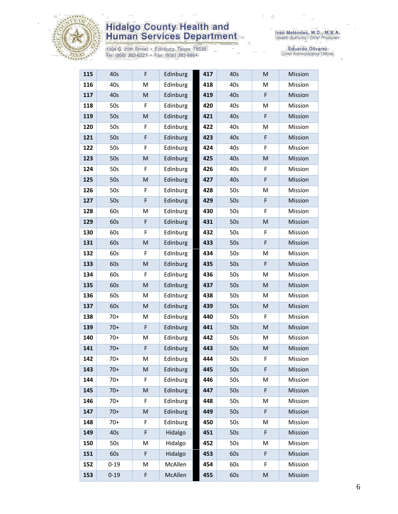

1304 S. 25th Street • Edinburg, Texas 78539<br>Tel: (956) 383-6221 • Fax: (956) 383-8864

| 115 | 40s      | F                                                                                                          | Edinburg | 417 | 40s | M         | Mission |
|-----|----------|------------------------------------------------------------------------------------------------------------|----------|-----|-----|-----------|---------|
| 116 | 40s      | M                                                                                                          | Edinburg | 418 | 40s | M         | Mission |
| 117 | 40s      | M                                                                                                          | Edinburg | 419 | 40s | F         | Mission |
| 118 | 50s      | F                                                                                                          | Edinburg | 420 | 40s | M         | Mission |
| 119 | 50s      | M                                                                                                          | Edinburg | 421 | 40s | F         | Mission |
| 120 | 50s      | F                                                                                                          | Edinburg | 422 | 40s | M         | Mission |
| 121 | 50s      | F                                                                                                          | Edinburg | 423 | 40s | F         | Mission |
| 122 | 50s      | F                                                                                                          | Edinburg | 424 | 40s | F         | Mission |
| 123 | 50s      | M                                                                                                          | Edinburg | 425 | 40s | M         | Mission |
| 124 | 50s      | F                                                                                                          | Edinburg | 426 | 40s | F         | Mission |
| 125 | 50s      | M                                                                                                          | Edinburg | 427 | 40s | F         | Mission |
| 126 | 50s      | F                                                                                                          | Edinburg | 428 | 50s | M         | Mission |
| 127 | 50s      | F                                                                                                          | Edinburg | 429 | 50s | F         | Mission |
| 128 | 60s      | M                                                                                                          | Edinburg | 430 | 50s | F         | Mission |
| 129 | 60s      | F                                                                                                          | Edinburg | 431 | 50s | M         | Mission |
| 130 | 60s      | F                                                                                                          | Edinburg | 432 | 50s | F         | Mission |
| 131 | 60s      | M                                                                                                          | Edinburg | 433 | 50s | F         | Mission |
| 132 | 60s      | F                                                                                                          | Edinburg | 434 | 50s | M         | Mission |
| 133 | 60s      | M                                                                                                          | Edinburg | 435 | 50s | F         | Mission |
| 134 | 60s      | F                                                                                                          | Edinburg | 436 | 50s | м         | Mission |
| 135 | 60s      | ${\sf M}$                                                                                                  | Edinburg | 437 | 50s | M         | Mission |
| 136 | 60s      | M                                                                                                          | Edinburg | 438 | 50s | M         | Mission |
| 137 | 60s      | ${\sf M}$                                                                                                  | Edinburg | 439 | 50s | M         | Mission |
| 138 | $70+$    | M                                                                                                          | Edinburg | 440 | 50s | F         | Mission |
| 139 | $70+$    | F                                                                                                          | Edinburg | 441 | 50s | M         | Mission |
| 140 | $70+$    | M                                                                                                          | Edinburg | 442 | 50s | M         | Mission |
| 141 | $70+$    | F                                                                                                          | Edinburg | 443 | 50s | M         | Mission |
| 142 | $70+$    | M                                                                                                          | Edinburg | 444 | 50s | F         | Mission |
| 143 | $70+$    | M                                                                                                          | Edinburg | 445 | 50s | F         | Mission |
| 144 | $70+$    | F                                                                                                          | Edinburg | 446 | 50s | м         | Mission |
| 145 | $70+$    | M                                                                                                          | Edinburg | 447 | 50s | F         | Mission |
| 146 | $70+$    | F                                                                                                          | Edinburg | 448 | 50s | м         | Mission |
| 147 | $70+$    | $\mathsf{M}% _{T}=\mathsf{M}_{T}\!\left( a,b\right) ,\ \mathsf{M}_{T}=\mathsf{M}_{T}\!\left( a,b\right) ,$ | Edinburg | 449 | 50s | F         | Mission |
| 148 | $70+$    | F                                                                                                          | Edinburg | 450 | 50s | M         | Mission |
| 149 | 40s      | F                                                                                                          | Hidalgo  | 451 | 50s | F         | Mission |
| 150 | 50s      | M                                                                                                          | Hidalgo  | 452 | 50s | M         | Mission |
| 151 | 60s      | F                                                                                                          | Hidalgo  | 453 | 60s | F         | Mission |
| 152 | $0 - 19$ | M                                                                                                          | McAllen  | 454 | 60s | F         | Mission |
| 153 | $0 - 19$ | F                                                                                                          | McAllen  | 455 | 60s | ${\sf M}$ | Mission |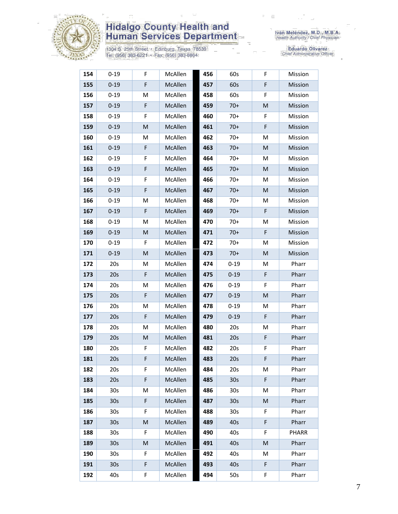

1304 S. 25th Street • Edinburg, Texas 78539<br>Tel: (956) 383-6221 • Fax: (956) 383-8864

| 154 | $0 - 19$        | F  | McAllen | 456 | 60s             | F | Mission |
|-----|-----------------|----|---------|-----|-----------------|---|---------|
| 155 | $0 - 19$        | F  | McAllen | 457 | 60s             | F | Mission |
| 156 | $0 - 19$        | М  | McAllen | 458 | 60s             | F | Mission |
| 157 | $0 - 19$        | F  | McAllen | 459 | $70+$           | M | Mission |
| 158 | $0 - 19$        | F  | McAllen | 460 | $70+$           | F | Mission |
| 159 | $0 - 19$        | M  | McAllen | 461 | $70+$           | F | Mission |
| 160 | $0 - 19$        | М  | McAllen | 462 | $70+$           | M | Mission |
| 161 | $0 - 19$        | F  | McAllen | 463 | $70+$           | M | Mission |
| 162 | $0 - 19$        | F  | McAllen | 464 | $70+$           | M | Mission |
| 163 | $0 - 19$        | F  | McAllen | 465 | $70+$           | M | Mission |
| 164 | $0 - 19$        | F  | McAllen | 466 | $70+$           | M | Mission |
| 165 | $0 - 19$        | F  | McAllen | 467 | $70+$           | M | Mission |
| 166 | $0 - 19$        | М  | McAllen | 468 | $70+$           | M | Mission |
| 167 | $0 - 19$        | F  | McAllen | 469 | $70+$           | F | Mission |
| 168 | $0 - 19$        | M  | McAllen | 470 | $70+$           | M | Mission |
| 169 | $0 - 19$        | M  | McAllen | 471 | $70+$           | F | Mission |
| 170 | $0 - 19$        | F  | McAllen | 472 | $70+$           | M | Mission |
| 171 | $0 - 19$        | M  | McAllen | 473 | $70+$           | M | Mission |
| 172 | 20s             | М  | McAllen | 474 | $0 - 19$        | M | Pharr   |
| 173 | 20s             | F  | McAllen | 475 | $0 - 19$        | F | Pharr   |
| 174 | 20s             | M  | McAllen | 476 | $0 - 19$        | F | Pharr   |
| 175 | 20s             | F  | McAllen | 477 | $0 - 19$        | M | Pharr   |
| 176 | 20s             | M  | McAllen | 478 | $0 - 19$        | M | Pharr   |
| 177 | 20s             | F  | McAllen | 479 | $0 - 19$        | F | Pharr   |
| 178 | 20s             | М  | McAllen | 480 | 20s             | M | Pharr   |
| 179 | 20s             | M  | McAllen | 481 | 20s             | F | Pharr   |
| 180 | 20s             | F. | McAllen | 482 | 20s             | F | Pharr   |
| 181 | 20s             | F  | McAllen | 483 | 20s             | F | Pharr   |
| 182 | 20s             | F  | McAllen | 484 | 20s             | M | Pharr   |
| 183 | 20s             | F  | McAllen | 485 | 30 <sub>s</sub> | F | Pharr   |
| 184 | 30s             | M  | McAllen | 486 | 30 <sub>s</sub> | M | Pharr   |
| 185 | 30 <sub>s</sub> | F  | McAllen | 487 | 30 <sub>s</sub> | M | Pharr   |
| 186 | 30s             | F  | McAllen | 488 | 30s             | F | Pharr   |
| 187 | 30 <sub>s</sub> | M  | McAllen | 489 | 40s             | F | Pharr   |
| 188 | 30s             | F  | McAllen | 490 | 40s             | F | PHARR   |
| 189 | 30 <sub>s</sub> | M  | McAllen | 491 | 40s             | M | Pharr   |
| 190 | 30s             | F  | McAllen | 492 | 40s             | M | Pharr   |
| 191 | 30 <sub>s</sub> | F  | McAllen | 493 | 40s             | F | Pharr   |
| 192 | 40s             | F  | McAllen | 494 | 50s             | F | Pharr   |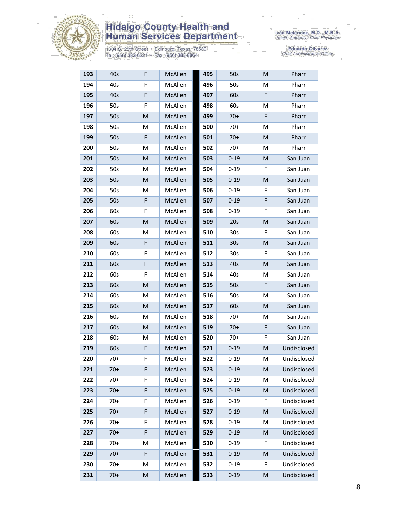

1304 S. 25th Street • Edinburg, Texas 78539<br>Tel: (956) 383-6221 • Fax: (956) 383-8864

| 193 | 40s   | F | McAllen | 495 | 50s             | M | Pharr       |
|-----|-------|---|---------|-----|-----------------|---|-------------|
| 194 | 40s   | F | McAllen | 496 | 50s             | M | Pharr       |
| 195 | 40s   | F | McAllen | 497 | 60s             | F | Pharr       |
| 196 | 50s   | F | McAllen | 498 | 60s             | M | Pharr       |
| 197 | 50s   | M | McAllen | 499 | $70+$           | F | Pharr       |
| 198 | 50s   | М | McAllen | 500 | $70+$           | М | Pharr       |
| 199 | 50s   | F | McAllen | 501 | $70+$           | М | Pharr       |
| 200 | 50s   | M | McAllen | 502 | $70+$           | М | Pharr       |
| 201 | 50s   | M | McAllen | 503 | $0 - 19$        | M | San Juan    |
| 202 | 50s   | М | McAllen | 504 | $0 - 19$        | F | San Juan    |
| 203 | 50s   | M | McAllen | 505 | $0 - 19$        | M | San Juan    |
| 204 | 50s   | M | McAllen | 506 | $0 - 19$        | F | San Juan    |
| 205 | 50s   | F | McAllen | 507 | $0 - 19$        | F | San Juan    |
| 206 | 60s   | F | McAllen | 508 | $0 - 19$        | F | San Juan    |
| 207 | 60s   | M | McAllen | 509 | 20s             | M | San Juan    |
| 208 | 60s   | м | McAllen | 510 | 30s             | F | San Juan    |
| 209 | 60s   | F | McAllen | 511 | 30 <sub>s</sub> | M | San Juan    |
| 210 | 60s   | F | McAllen | 512 | 30 <sub>s</sub> | F | San Juan    |
| 211 | 60s   | F | McAllen | 513 | 40s             | M | San Juan    |
| 212 | 60s   | F | McAllen | 514 | 40s             | м | San Juan    |
| 213 | 60s   | M | McAllen | 515 | 50s             | F | San Juan    |
| 214 | 60s   | M | McAllen | 516 | 50s             | M | San Juan    |
| 215 | 60s   | M | McAllen | 517 | 60s             | M | San Juan    |
| 216 | 60s   | M | McAllen | 518 | $70+$           | M | San Juan    |
| 217 | 60s   | M | McAllen | 519 | $70+$           | F | San Juan    |
| 218 | 60s   | M | McAllen | 520 | $70+$           | F | San Juan    |
| 219 | 60s   | F | McAllen | 521 | $0 - 19$        | M | Undisclosed |
| 220 | $70+$ | F | McAllen | 522 | $0 - 19$        | М | Undisclosed |
| 221 | $70+$ | F | McAllen | 523 | $0 - 19$        | M | Undisclosed |
| 222 | $70+$ | F | McAllen | 524 | $0 - 19$        | M | Undisclosed |
| 223 | $70+$ | F | McAllen | 525 | $0 - 19$        | M | Undisclosed |
| 224 | $70+$ | F | McAllen | 526 | $0 - 19$        | F | Undisclosed |
| 225 | $70+$ | F | McAllen | 527 | $0 - 19$        | M | Undisclosed |
| 226 | $70+$ | F | McAllen | 528 | $0 - 19$        | M | Undisclosed |
| 227 | $70+$ | F | McAllen | 529 | $0 - 19$        | M | Undisclosed |
| 228 | $70+$ | M | McAllen | 530 | $0 - 19$        | F | Undisclosed |
| 229 | $70+$ | F | McAllen | 531 | $0 - 19$        | M | Undisclosed |
| 230 | $70+$ | M | McAllen | 532 | $0 - 19$        | F | Undisclosed |
| 231 | $70+$ | M | McAllen | 533 | $0 - 19$        | M | Undisclosed |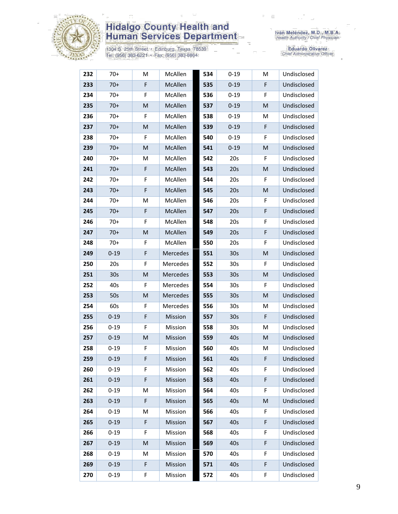

1304 S. 25th Street • Edinburg, Texas 78539<br>Tel: (956) 383-6221 • Fax: (956) 383-8864

| 232 | $70+$           | M           | McAllen  | 534 | $0 - 19$        | M  | Undisclosed |
|-----|-----------------|-------------|----------|-----|-----------------|----|-------------|
| 233 | $70+$           | F           | McAllen  | 535 | $0 - 19$        | F  | Undisclosed |
| 234 | $70+$           | F           | McAllen  | 536 | $0 - 19$        | F  | Undisclosed |
| 235 | $70+$           | M           | McAllen  | 537 | $0 - 19$        | M  | Undisclosed |
| 236 | $70+$           | F           | McAllen  | 538 | $0 - 19$        | М  | Undisclosed |
| 237 | $70+$           | M           | McAllen  | 539 | $0 - 19$        | F  | Undisclosed |
| 238 | $70+$           | F           | McAllen  | 540 | $0 - 19$        | F  | Undisclosed |
| 239 | $70+$           | M           | McAllen  | 541 | $0 - 19$        | M  | Undisclosed |
| 240 | $70+$           | M           | McAllen  | 542 | 20s             | F  | Undisclosed |
| 241 | $70+$           | F           | McAllen  | 543 | 20s             | M  | Undisclosed |
| 242 | $70+$           | F           | McAllen  | 544 | 20s             | F  | Undisclosed |
| 243 | $70+$           | F           | McAllen  | 545 | 20s             | M  | Undisclosed |
| 244 | $70+$           | M           | McAllen  | 546 | 20s             | F  | Undisclosed |
| 245 | $70+$           | $\mathsf F$ | McAllen  | 547 | 20s             | F  | Undisclosed |
| 246 | $70+$           | F           | McAllen  | 548 | 20s             | F  | Undisclosed |
| 247 | $70+$           | ${\sf M}$   | McAllen  | 549 | 20s             | F  | Undisclosed |
| 248 | $70+$           | F           | McAllen  | 550 | 20s             | F  | Undisclosed |
| 249 | $0 - 19$        | $\mathsf F$ | Mercedes | 551 | 30 <sub>s</sub> | M  | Undisclosed |
| 250 | 20s             | F           | Mercedes | 552 | 30s             | F  | Undisclosed |
| 251 | 30 <sub>s</sub> | M           | Mercedes | 553 | 30 <sub>s</sub> | M  | Undisclosed |
| 252 | 40s             | F           | Mercedes | 554 | 30s             | F  | Undisclosed |
| 253 | 50s             | M           | Mercedes | 555 | 30 <sub>s</sub> | M  | Undisclosed |
| 254 | 60s             | F           | Mercedes | 556 | 30s             | M  | Undisclosed |
| 255 | $0 - 19$        | $\mathsf F$ | Mission  | 557 | 30 <sub>s</sub> | F  | Undisclosed |
| 256 | $0 - 19$        | F           | Mission  | 558 | 30s             | M  | Undisclosed |
| 257 | $0 - 19$        | M           | Mission  | 559 | 40s             | M  | Undisclosed |
| 258 | $0 - 19$        | F           | Mission  | 560 | 40s             | M  | Undisclosed |
| 259 | $0 - 19$        | F           | Mission  | 561 | 40s             | F  | Undisclosed |
| 260 | $0 - 19$        | F           | Mission  | 562 | 40s             | F. | Undisclosed |
| 261 | $0 - 19$        | $\mathsf F$ | Mission  | 563 | 40s             | F  | Undisclosed |
| 262 | $0 - 19$        | M           | Mission  | 564 | 40s             | F  | Undisclosed |
| 263 | $0 - 19$        | $\mathsf F$ | Mission  | 565 | 40s             | M  | Undisclosed |
| 264 | $0 - 19$        | M           | Mission  | 566 | 40s             | F  | Undisclosed |
| 265 | $0 - 19$        | F           | Mission  | 567 | 40s             | F  | Undisclosed |
| 266 | $0 - 19$        | F           | Mission  | 568 | 40s             | F  | Undisclosed |
| 267 | $0 - 19$        | M           | Mission  | 569 | 40s             | F  | Undisclosed |
| 268 | $0 - 19$        | M           | Mission  | 570 | 40s             | F  | Undisclosed |
| 269 | $0 - 19$        | $\mathsf F$ | Mission  | 571 | 40s             | F  | Undisclosed |
| 270 | $0 - 19$        | F           | Mission  | 572 | 40s             | F  | Undisclosed |